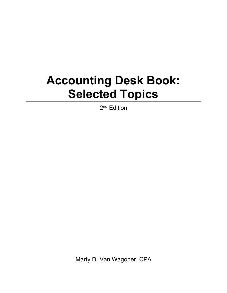## **Accounting Desk Book: Selected Topics**

2<sup>nd</sup> Edition

Marty D. Van Wagoner, CPA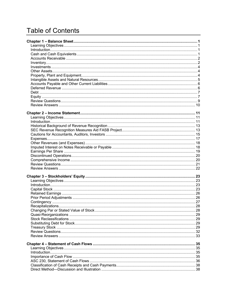## **Table of Contents**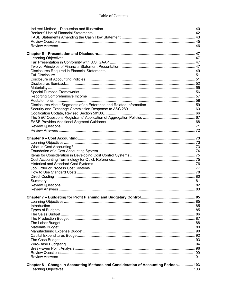| Chapter 8 - Change in Accounting Methods and Consideration of Accounting Periods  103 |  |
|---------------------------------------------------------------------------------------|--|
|                                                                                       |  |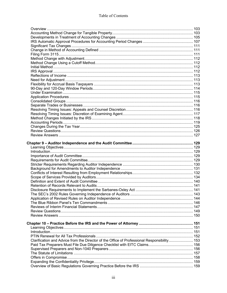| Clarification and Advice from the Director of the Office of Professional Responsibility 153 |  |
|---------------------------------------------------------------------------------------------|--|
|                                                                                             |  |
|                                                                                             |  |
|                                                                                             |  |
|                                                                                             |  |
|                                                                                             |  |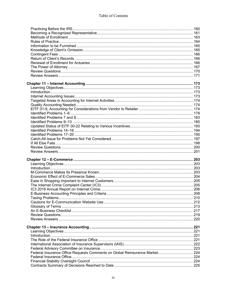| Federal Insurance Office Requests Comments on Global Reinsurance Market 224 |  |
|-----------------------------------------------------------------------------|--|
|                                                                             |  |
|                                                                             |  |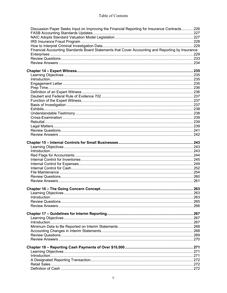| Discussion Paper Seeks Input on Improving the Financial Reporting for Insurance Contracts 226    |  |
|--------------------------------------------------------------------------------------------------|--|
|                                                                                                  |  |
|                                                                                                  |  |
|                                                                                                  |  |
| Financial Accounting Standards Board Statements that Cover Accounting and Reporting by Insurance |  |
|                                                                                                  |  |
|                                                                                                  |  |
|                                                                                                  |  |
|                                                                                                  |  |
|                                                                                                  |  |
|                                                                                                  |  |
|                                                                                                  |  |
|                                                                                                  |  |
|                                                                                                  |  |
|                                                                                                  |  |
|                                                                                                  |  |
|                                                                                                  |  |
|                                                                                                  |  |
|                                                                                                  |  |
|                                                                                                  |  |
|                                                                                                  |  |
|                                                                                                  |  |
|                                                                                                  |  |
|                                                                                                  |  |
|                                                                                                  |  |
|                                                                                                  |  |
|                                                                                                  |  |
|                                                                                                  |  |
|                                                                                                  |  |
|                                                                                                  |  |
|                                                                                                  |  |
|                                                                                                  |  |
|                                                                                                  |  |
|                                                                                                  |  |
|                                                                                                  |  |
|                                                                                                  |  |
|                                                                                                  |  |
|                                                                                                  |  |
|                                                                                                  |  |
|                                                                                                  |  |
|                                                                                                  |  |
|                                                                                                  |  |
|                                                                                                  |  |
|                                                                                                  |  |
|                                                                                                  |  |
|                                                                                                  |  |
|                                                                                                  |  |
|                                                                                                  |  |
|                                                                                                  |  |
|                                                                                                  |  |
|                                                                                                  |  |
|                                                                                                  |  |
|                                                                                                  |  |
|                                                                                                  |  |
|                                                                                                  |  |
|                                                                                                  |  |
|                                                                                                  |  |